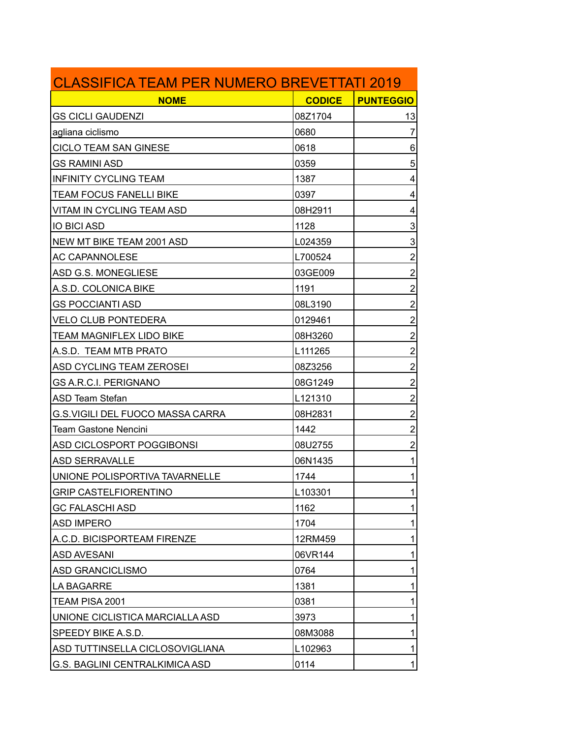| <b>CLASSIFICA TEAM PER NUMERO BREVETTATI 2019</b> |               |                         |
|---------------------------------------------------|---------------|-------------------------|
| <b>NOME</b>                                       | <b>CODICE</b> | <b>PUNTEGGIO</b>        |
| <b>GS CICLI GAUDENZI</b>                          | 08Z1704       | 13                      |
| agliana ciclismo                                  | 0680          | 7                       |
| <b>CICLO TEAM SAN GINESE</b>                      | 0618          | 6                       |
| <b>GS RAMINI ASD</b>                              | 0359          | 5                       |
| <b>INFINITY CYCLING TEAM</b>                      | 1387          | 4                       |
| <b>TEAM FOCUS FANELLI BIKE</b>                    | 0397          | 4                       |
| VITAM IN CYCLING TEAM ASD                         | 08H2911       | 4                       |
| <b>IO BICI ASD</b>                                | 1128          | 3                       |
| NEW MT BIKE TEAM 2001 ASD                         | L024359       | 3                       |
| <b>AC CAPANNOLESE</b>                             | L700524       | $\overline{c}$          |
| ASD G.S. MONEGLIESE                               | 03GE009       | $\overline{\mathbf{c}}$ |
| A.S.D. COLONICA BIKE                              | 1191          | $\overline{c}$          |
| <b>GS POCCIANTI ASD</b>                           | 08L3190       | $\overline{2}$          |
| <b>VELO CLUB PONTEDERA</b>                        | 0129461       | $\overline{2}$          |
| <b>TEAM MAGNIFLEX LIDO BIKE</b>                   | 08H3260       | $\overline{c}$          |
| A.S.D. TEAM MTB PRATO                             | L111265       | $\overline{\mathbf{c}}$ |
| ASD CYCLING TEAM ZEROSEI                          | 08Z3256       | $\overline{c}$          |
| <b>GS A.R.C.I. PERIGNANO</b>                      | 08G1249       | $\overline{2}$          |
| ASD Team Stefan                                   | L121310       | $\overline{2}$          |
| <b>G.S.VIGILI DEL FUOCO MASSA CARRA</b>           | 08H2831       | $\overline{c}$          |
| Team Gastone Nencini                              | 1442          | $\overline{\mathbf{c}}$ |
| ASD CICLOSPORT POGGIBONSI                         | 08U2755       | $\overline{c}$          |
| <b>ASD SERRAVALLE</b>                             | 06N1435       | 1                       |
| UNIONE POLISPORTIVA TAVARNELLE                    | 1744          | 1                       |
| <b>GRIP CASTELFIORENTINO</b>                      | L103301       | 1                       |
| <b>GC FALASCHI ASD</b>                            | 1162          | 1                       |
| <b>ASD IMPERO</b>                                 | 1704          | 1                       |
| A.C.D. BICISPORTEAM FIRENZE                       | 12RM459       | 1                       |
| <b>ASD AVESANI</b>                                | 06VR144       | 1                       |
| <b>ASD GRANCICLISMO</b>                           | 0764          | 1                       |
| LA BAGARRE                                        | 1381          | 1                       |
| TEAM PISA 2001                                    | 0381          | 1                       |
| UNIONE CICLISTICA MARCIALLA ASD                   | 3973          | 1                       |
| SPEEDY BIKE A.S.D.                                | 08M3088       | 1                       |
| ASD TUTTINSELLA CICLOSOVIGLIANA                   | L102963       | 1                       |
| G.S. BAGLINI CENTRALKIMICA ASD                    | 0114          | 1                       |